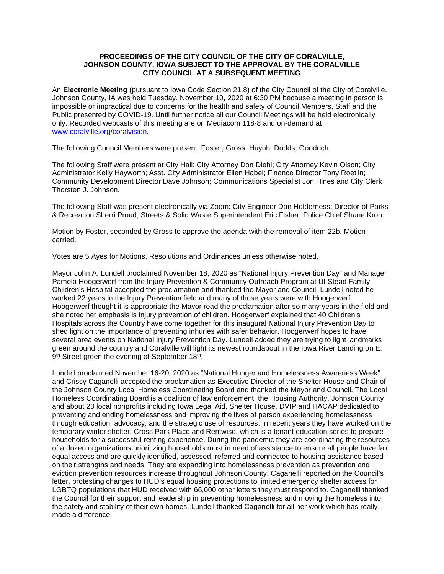# **PROCEEDINGS OF THE CITY COUNCIL OF THE CITY OF CORALVILLE, JOHNSON COUNTY, IOWA SUBJECT TO THE APPROVAL BY THE CORALVILLE CITY COUNCIL AT A SUBSEQUENT MEETING**

An **Electronic Meeting** (pursuant to Iowa Code Section 21.8) of the City Council of the City of Coralville, Johnson County, IA was held Tuesday, November 10, 2020 at 6:30 PM because a meeting in person is impossible or impractical due to concerns for the health and safety of Council Members, Staff and the Public presented by COVID-19. Until further notice all our Council Meetings will be held electronically only. Recorded webcasts of this meeting are on Mediacom 118-8 and on-demand at [www.coralville.org/coralvision.](http://www.coralville.org/coralvision)

The following Council Members were present: Foster, Gross, Huynh, Dodds, Goodrich.

The following Staff were present at City Hall: City Attorney Don Diehl; City Attorney Kevin Olson; City Administrator Kelly Hayworth; Asst. City Administrator Ellen Habel; Finance Director Tony Roetlin; Community Development Director Dave Johnson; Communications Specialist Jon Hines and City Clerk Thorsten J. Johnson.

The following Staff was present electronically via Zoom: City Engineer Dan Holderness; Director of Parks & Recreation Sherri Proud; Streets & Solid Waste Superintendent Eric Fisher; Police Chief Shane Kron.

Motion by Foster, seconded by Gross to approve the agenda with the removal of item 22b. Motion carried.

Votes are 5 Ayes for Motions, Resolutions and Ordinances unless otherwise noted.

Mayor John A. Lundell proclaimed November 18, 2020 as "National Injury Prevention Day" and Manager Pamela Hoogerwerf from the Injury Prevention & Community Outreach Program at UI Stead Family Children's Hospital accepted the proclamation and thanked the Mayor and Council. Lundell noted he worked 22 years in the Injury Prevention field and many of those years were with Hoogerwerf. Hoogerwerf thought it is appropriate the Mayor read the proclamation after so many years in the field and she noted her emphasis is injury prevention of children. Hoogerwerf explained that 40 Children's Hospitals across the Country have come together for this inaugural National Injury Prevention Day to shed light on the importance of preventing inhuries with safer behavior. Hoogerwerf hopes to have several area events on National Injury Prevention Day. Lundell added they are trying to light landmarks green around the country and Coralville will light its newest roundabout in the Iowa River Landing on E. 9<sup>th</sup> Street green the evening of September 18<sup>th</sup>.

Lundell proclaimed November 16-20, 2020 as "National Hunger and Homelessness Awareness Week" and Crissy Caganelli accepted the proclamation as Executive Director of the Shelter House and Chair of the Johnson County Local Homeless Coordinating Board and thanked the Mayor and Council. The Local Homeless Coordinating Board is a coalition of law enforcement, the Housing Authority, Johnson County and about 20 local nonprofits including Iowa Legal Aid, Shelter House, DVIP and HACAP dedicated to preventing and ending homelessness and improving the lives of person experiencing homelessness through education, advocacy, and the strategic use of resources. In recent years they have worked on the temporary winter shelter, Cross Park Place and Rentwise, which is a tenant education series to prepare households for a successful renting experience. During the pandemic they are coordinating the resources of a dozen organizations prioritizing households most in need of assistance to ensure all people have fair equal access and are quickly identified, assessed, referred and connected to housing assistance based on their strengths and needs. They are expanding into homelessness prevention as prevention and eviction prevention resources increase throughout Johnson County. Caganelli reported on the Council's letter, protesting changes to HUD's equal housing protections to limited emergency shelter access for LGBTQ populations that HUD received with 66,000 other letters they must respond to. Caganelli thanked the Council for their support and leadership in preventing homelessness and moving the homeless into the safety and stability of their own homes. Lundell thanked Caganelli for all her work which has really made a difference.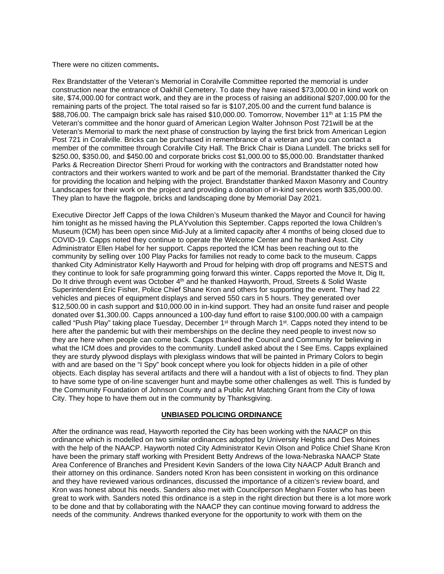There were no citizen comments**.**

Rex Brandstatter of the Veteran's Memorial in Coralville Committee reported the memorial is under construction near the entrance of Oakhill Cemetery. To date they have raised \$73,000.00 in kind work on site, \$74,000.00 for contract work, and they are in the process of raising an additional \$207,000.00 for the remaining parts of the project. The total raised so far is \$107,205.00 and the current fund balance is \$88,706.00. The campaign brick sale has raised \$10,000.00. Tomorrow, November 11<sup>th</sup> at 1:15 PM the Veteran's committee and the honor guard of American Legion Walter Johnson Post 721will be at the Veteran's Memorial to mark the next phase of construction by laying the first brick from American Legion Post 721 in Coralville. Bricks can be purchased in remembrance of a veteran and you can contact a member of the committee through Coralville City Hall. The Brick Chair is Diana Lundell. The bricks sell for \$250.00, \$350.00, and \$450.00 and corporate bricks cost \$1,000.00 to \$5,000.00. Brandstatter thanked Parks & Recreation Director Sherri Proud for working with the contractors and Brandstatter noted how contractors and their workers wanted to work and be part of the memorial. Brandstatter thanked the City for providing the location and helping with the project. Brandstatter thanked Maxon Masonry and Country Landscapes for their work on the project and providing a donation of in-kind services worth \$35,000.00. They plan to have the flagpole, bricks and landscaping done by Memorial Day 2021.

Executive Director Jeff Capps of the Iowa Children's Museum thanked the Mayor and Council for having him tonight as he missed having the PLAYvolution this September. Capps reported the Iowa Children's Museum (ICM) has been open since Mid-July at a limited capacity after 4 months of being closed due to COVID-19. Capps noted they continue to operate the Welcome Center and he thanked Asst. City Administrator Ellen Habel for her support. Capps reported the ICM has been reaching out to the community by selling over 100 Play Packs for families not ready to come back to the museum. Capps thanked City Administrator Kelly Hayworth and Proud for helping with drop off programs and NESTS and they continue to look for safe programming going forward this winter. Capps reported the Move It, Dig It, Do It drive through event was October 4<sup>th</sup> and he thanked Hayworth, Proud, Streets & Solid Waste Superintendent Eric Fisher, Police Chief Shane Kron and others for supporting the event. They had 22 vehicles and pieces of equipment displays and served 550 cars in 5 hours. They generated over \$12,500.00 in cash support and \$10,000.00 in in-kind support. They had an onsite fund raiser and people donated over \$1,300.00. Capps announced a 100-day fund effort to raise \$100,000.00 with a campaign called "Push Play" taking place Tuesday, December 1<sup>st</sup> through March 1<sup>st</sup>. Capps noted they intend to be here after the pandemic but with their memberships on the decline they need people to invest now so they are here when people can come back. Capps thanked the Council and Community for believing in what the ICM does and provides to the community. Lundell asked about the I See Ems. Capps explained they are sturdy plywood displays with plexiglass windows that will be painted in Primary Colors to begin with and are based on the "I Spy" book concept where you look for objects hidden in a pile of other objects. Each display has several artifacts and there will a handout with a list of objects to find. They plan to have some type of on-line scavenger hunt and maybe some other challenges as well. This is funded by the Community Foundation of Johnson County and a Public Art Matching Grant from the City of Iowa City. They hope to have them out in the community by Thanksgiving.

### **UNBIASED POLICING ORDINANCE**

After the ordinance was read, Hayworth reported the City has been working with the NAACP on this ordinance which is modelled on two similar ordinances adopted by University Heights and Des Moines with the help of the NAACP. Hayworth noted City Administrator Kevin Olson and Police Chief Shane Kron have been the primary staff working with President Betty Andrews of the Iowa-Nebraska NAACP State Area Conference of Branches and President Kevin Sanders of the Iowa City NAACP Adult Branch and their attorney on this ordinance. Sanders noted Kron has been consistent in working on this ordinance and they have reviewed various ordinances, discussed the importance of a citizen's review board, and Kron was honest about his needs. Sanders also met with Councilperson Meghann Foster who has been great to work with. Sanders noted this ordinance is a step in the right direction but there is a lot more work to be done and that by collaborating with the NAACP they can continue moving forward to address the needs of the community. Andrews thanked everyone for the opportunity to work with them on the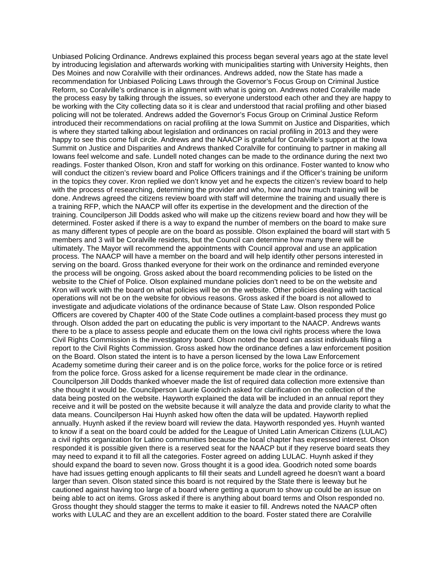Unbiased Policing Ordinance. Andrews explained this process began several years ago at the state level by introducing legislation and afterwards working with municipalities starting with University Heights, then Des Moines and now Coralville with their ordinances. Andrews added, now the State has made a recommendation for Unbiased Policing Laws through the Governor's Focus Group on Criminal Justice Reform, so Coralville's ordinance is in alignment with what is going on. Andrews noted Coralville made the process easy by talking through the issues, so everyone understood each other and they are happy to be working with the City collecting data so it is clear and understood that racial profiling and other biased policing will not be tolerated. Andrews added the Governor's Focus Group on Criminal Justice Reform introduced their recommendations on racial profiling at the Iowa Summit on Justice and Disparities, which is where they started talking about legislation and ordinances on racial profiling in 2013 and they were happy to see this come full circle. Andrews and the NAACP is grateful for Coralville's support at the Iowa Summit on Justice and Disparities and Andrews thanked Coralville for continuing to partner in making all Iowans feel welcome and safe. Lundell noted changes can be made to the ordinance during the next two readings. Foster thanked Olson, Kron and staff for working on this ordinance. Foster wanted to know who will conduct the citizen's review board and Police Officers trainings and if the Officer's training be uniform in the topics they cover. Kron replied we don't know yet and he expects the citizen's review board to help with the process of researching, determining the provider and who, how and how much training will be done. Andrews agreed the citizens review board with staff will determine the training and usually there is a training RFP, which the NAACP will offer its expertise in the development and the direction of the training. Councilperson Jill Dodds asked who will make up the citizens review board and how they will be determined. Foster asked if there is a way to expand the number of members on the board to make sure as many different types of people are on the board as possible. Olson explained the board will start with 5 members and 3 will be Coralville residents, but the Council can determine how many there will be ultimately. The Mayor will recommend the appointments with Council approval and use an application process. The NAACP will have a member on the board and will help identify other persons interested in serving on the board. Gross thanked everyone for their work on the ordinance and reminded everyone the process will be ongoing. Gross asked about the board recommending policies to be listed on the website to the Chief of Police. Olson explained mundane policies don't need to be on the website and Kron will work with the board on what policies will be on the website. Other policies dealing with tactical operations will not be on the website for obvious reasons. Gross asked if the board is not allowed to investigate and adjudicate violations of the ordinance because of State Law. Olson responded Police Officers are covered by Chapter 400 of the State Code outlines a complaint-based process they must go through. Olson added the part on educating the public is very important to the NAACP. Andrews wants there to be a place to assess people and educate them on the Iowa civil rights process where the Iowa Civil Rights Commission is the investigatory board. Olson noted the board can assist individuals filing a report to the Civil Rights Commission. Gross asked how the ordinance defines a law enforcement position on the Board. Olson stated the intent is to have a person licensed by the Iowa Law Enforcement Academy sometime during their career and is on the police force, works for the police force or is retired from the police force. Gross asked for a license requirement be made clear in the ordinance. Councilperson Jill Dodds thanked whoever made the list of required data collection more extensive than she thought it would be. Councilperson Laurie Goodrich asked for clarification on the collection of the data being posted on the website. Hayworth explained the data will be included in an annual report they receive and it will be posted on the website because it will analyze the data and provide clarity to what the data means. Councilperson Hai Huynh asked how often the data will be updated. Hayworth replied annually. Huynh asked if the review board will review the data. Hayworth responded yes. Huynh wanted to know if a seat on the board could be added for the League of United Latin American Citizens (LULAC) a civil rights organization for Latino communities because the local chapter has expressed interest. Olson responded it is possible given there is a reserved seat for the NAACP but if they reserve board seats they may need to expand it to fill all the categories. Foster agreed on adding LULAC. Huynh asked if they should expand the board to seven now. Gross thought it is a good idea. Goodrich noted some boards have had issues getting enough applicants to fill their seats and Lundell agreed he doesn't want a board larger than seven. Olson stated since this board is not required by the State there is leeway but he cautioned against having too large of a board where getting a quorum to show up could be an issue on being able to act on items. Gross asked if there is anything about board terms and Olson responded no. Gross thought they should stagger the terms to make it easier to fill. Andrews noted the NAACP often works with LULAC and they are an excellent addition to the board. Foster stated there are Coralville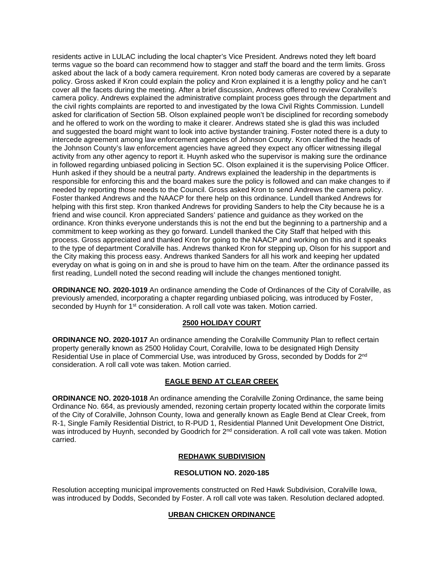residents active in LULAC including the local chapter's Vice President. Andrews noted they left board terms vague so the board can recommend how to stagger and staff the board and the term limits. Gross asked about the lack of a body camera requirement. Kron noted body cameras are covered by a separate policy. Gross asked if Kron could explain the policy and Kron explained it is a lengthy policy and he can't cover all the facets during the meeting. After a brief discussion, Andrews offered to review Coralville's camera policy. Andrews explained the administrative complaint process goes through the department and the civil rights complaints are reported to and investigated by the Iowa Civil Rights Commission. Lundell asked for clarification of Section 5B. Olson explained people won't be disciplined for recording somebody and he offered to work on the wording to make it clearer. Andrews stated she is glad this was included and suggested the board might want to look into active bystander training. Foster noted there is a duty to intercede agreement among law enforcement agencies of Johnson County. Kron clarified the heads of the Johnson County's law enforcement agencies have agreed they expect any officer witnessing illegal activity from any other agency to report it. Huynh asked who the supervisor is making sure the ordinance in followed regarding unbiased policing in Section 5C. Olson explained it is the supervising Police Officer. Hunh asked if they should be a neutral party. Andrews explained the leadership in the departments is responsible for enforcing this and the board makes sure the policy is followed and can make changes to if needed by reporting those needs to the Council. Gross asked Kron to send Andrews the camera policy. Foster thanked Andrews and the NAACP for there help on this ordinance. Lundell thanked Andrews for helping with this first step. Kron thanked Andrews for providing Sanders to help the City because he is a friend and wise council. Kron appreciated Sanders' patience and guidance as they worked on the ordinance. Kron thinks everyone understands this is not the end but the beginning to a partnership and a commitment to keep working as they go forward. Lundell thanked the City Staff that helped with this process. Gross appreciated and thanked Kron for going to the NAACP and working on this and it speaks to the type of department Coralville has. Andrews thanked Kron for stepping up, Olson for his support and the City making this process easy. Andrews thanked Sanders for all his work and keeping her updated everyday on what is going on in and she is proud to have him on the team. After the ordinance passed its first reading, Lundell noted the second reading will include the changes mentioned tonight.

**ORDINANCE NO. 2020-1019** An ordinance amending the Code of Ordinances of the City of Coralville, as previously amended, incorporating a chapter regarding unbiased policing, was introduced by Foster, seconded by Huynh for 1<sup>st</sup> consideration. A roll call vote was taken. Motion carried.

# **2500 HOLIDAY COURT**

**ORDINANCE NO. 2020-1017** An ordinance amending the Coralville Community Plan to reflect certain property generally known as 2500 Holiday Court, Coralville, Iowa to be designated High Density Residential Use in place of Commercial Use, was introduced by Gross, seconded by Dodds for 2<sup>nd</sup> consideration. A roll call vote was taken. Motion carried.

# **EAGLE BEND AT CLEAR CREEK**

**ORDINANCE NO. 2020-1018** An ordinance amending the Coralville Zoning Ordinance, the same being Ordinance No. 664, as previously amended, rezoning certain property located within the corporate limits of the City of Coralville, Johnson County, Iowa and generally known as Eagle Bend at Clear Creek, from R-1, Single Family Residential District, to R-PUD 1, Residential Planned Unit Development One District, was introduced by Huynh, seconded by Goodrich for 2<sup>nd</sup> consideration. A roll call vote was taken. Motion carried.

### **REDHAWK SUBDIVISION**

### **RESOLUTION NO. 2020-185**

Resolution accepting municipal improvements constructed on Red Hawk Subdivision, Coralville Iowa, was introduced by Dodds, Seconded by Foster. A roll call vote was taken. Resolution declared adopted.

### **URBAN CHICKEN ORDINANCE**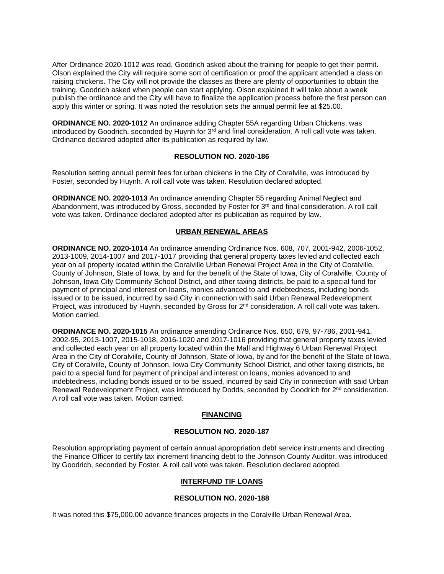After Ordinance 2020-1012 was read, Goodrich asked about the training for people to get their permit. Olson explained the City will require some sort of certification or proof the applicant attended a class on raising chickens. The City will not provide the classes as there are plenty of opportunities to obtain the training. Goodrich asked when people can start applying. Olson explained it will take about a week publish the ordinance and the City will have to finalize the application process before the first person can apply this winter or spring. It was noted the resolution sets the annual permit fee at \$25.00.

**ORDINANCE NO. 2020-1012** An ordinance adding Chapter 55A regarding Urban Chickens, was introduced by Goodrich, seconded by Huynh for 3rd and final consideration. A roll call vote was taken. Ordinance declared adopted after its publication as required by law.

#### **RESOLUTION NO. 2020-186**

Resolution setting annual permit fees for urban chickens in the City of Coralville, was introduced by Foster, seconded by Huynh. A roll call vote was taken. Resolution declared adopted.

**ORDINANCE NO. 2020-1013** An ordinance amending Chapter 55 regarding Animal Neglect and Abandonment, was introduced by Gross, seconded by Foster for  $3<sup>rd</sup>$  and final consideration. A roll call vote was taken. Ordinance declared adopted after its publication as required by law.

# **URBAN RENEWAL AREAS**

**ORDINANCE NO. 2020-1014** An ordinance amending Ordinance Nos. 608, 707, 2001-942, 2006-1052, 2013-1009, 2014-1007 and 2017-1017 providing that general property taxes levied and collected each year on all property located within the Coralville Urban Renewal Project Area in the City of Coralville, County of Johnson, State of Iowa, by and for the benefit of the State of Iowa, City of Coralville, County of Johnson, Iowa City Community School District, and other taxing districts, be paid to a special fund for payment of principal and interest on loans, monies advanced to and indebtedness, including bonds issued or to be issued, incurred by said City in connection with said Urban Renewal Redevelopment Project, was introduced by Huynh, seconded by Gross for 2<sup>nd</sup> consideration. A roll call vote was taken. Motion carried.

**ORDINANCE NO. 2020-1015** An ordinance amending Ordinance Nos. 650, 679, 97-786, 2001-941, 2002-95, 2013-1007, 2015-1018, 2016-1020 and 2017-1016 providing that general property taxes levied and collected each year on all property located within the Mall and Highway 6 Urban Renewal Project Area in the City of Coralville, County of Johnson, State of Iowa, by and for the benefit of the State of Iowa, City of Coralville, County of Johnson, Iowa City Community School District, and other taxing districts, be paid to a special fund for payment of principal and interest on loans, monies advanced to and indebtedness, including bonds issued or to be issued, incurred by said City in connection with said Urban Renewal Redevelopment Project, was introduced by Dodds, seconded by Goodrich for 2<sup>nd</sup> consideration. A roll call vote was taken. Motion carried.

### **FINANCING**

# **RESOLUTION NO. 2020-187**

Resolution appropriating payment of certain annual appropriation debt service instruments and directing the Finance Officer to certify tax increment financing debt to the Johnson County Auditor, was introduced by Goodrich, seconded by Foster. A roll call vote was taken. Resolution declared adopted.

#### **INTERFUND TIF LOANS**

# **RESOLUTION NO. 2020-188**

It was noted this \$75,000.00 advance finances projects in the Coralville Urban Renewal Area.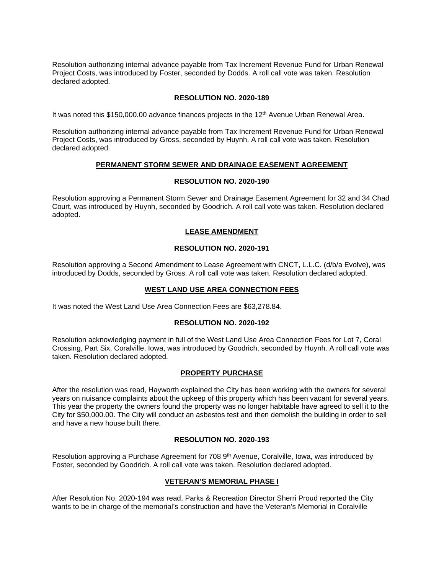Resolution authorizing internal advance payable from Tax Increment Revenue Fund for Urban Renewal Project Costs, was introduced by Foster, seconded by Dodds. A roll call vote was taken. Resolution declared adopted.

### **RESOLUTION NO. 2020-189**

It was noted this \$150,000.00 advance finances projects in the 12<sup>th</sup> Avenue Urban Renewal Area.

Resolution authorizing internal advance payable from Tax Increment Revenue Fund for Urban Renewal Project Costs, was introduced by Gross, seconded by Huynh. A roll call vote was taken. Resolution declared adopted.

### **PERMANENT STORM SEWER AND DRAINAGE EASEMENT AGREEMENT**

### **RESOLUTION NO. 2020-190**

Resolution approving a Permanent Storm Sewer and Drainage Easement Agreement for 32 and 34 Chad Court, was introduced by Huynh, seconded by Goodrich. A roll call vote was taken. Resolution declared adopted.

### **LEASE AMENDMENT**

# **RESOLUTION NO. 2020-191**

Resolution approving a Second Amendment to Lease Agreement with CNCT, L.L.C. (d/b/a Evolve), was introduced by Dodds, seconded by Gross. A roll call vote was taken. Resolution declared adopted.

### **WEST LAND USE AREA CONNECTION FEES**

It was noted the West Land Use Area Connection Fees are \$63,278.84.

### **RESOLUTION NO. 2020-192**

Resolution acknowledging payment in full of the West Land Use Area Connection Fees for Lot 7, Coral Crossing, Part Six, Coralville, Iowa, was introduced by Goodrich, seconded by Huynh. A roll call vote was taken. Resolution declared adopted.

### **PROPERTY PURCHASE**

After the resolution was read, Hayworth explained the City has been working with the owners for several years on nuisance complaints about the upkeep of this property which has been vacant for several years. This year the property the owners found the property was no longer habitable have agreed to sell it to the City for \$50,000.00. The City will conduct an asbestos test and then demolish the building in order to sell and have a new house built there.

### **RESOLUTION NO. 2020-193**

Resolution approving a Purchase Agreement for 708 9<sup>th</sup> Avenue, Coralville, Iowa, was introduced by Foster, seconded by Goodrich. A roll call vote was taken. Resolution declared adopted.

### **VETERAN'S MEMORIAL PHASE I**

After Resolution No. 2020-194 was read, Parks & Recreation Director Sherri Proud reported the City wants to be in charge of the memorial's construction and have the Veteran's Memorial in Coralville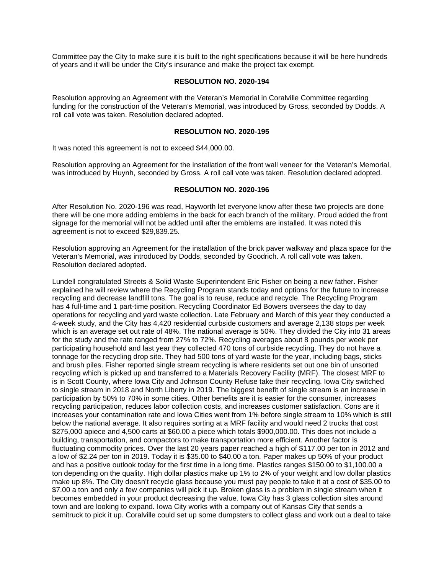Committee pay the City to make sure it is built to the right specifications because it will be here hundreds of years and it will be under the City's insurance and make the project tax exempt.

#### **RESOLUTION NO. 2020-194**

Resolution approving an Agreement with the Veteran's Memorial in Coralville Committee regarding funding for the construction of the Veteran's Memorial, was introduced by Gross, seconded by Dodds. A roll call vote was taken. Resolution declared adopted.

# **RESOLUTION NO. 2020-195**

It was noted this agreement is not to exceed \$44,000.00.

Resolution approving an Agreement for the installation of the front wall veneer for the Veteran's Memorial, was introduced by Huynh, seconded by Gross. A roll call vote was taken. Resolution declared adopted.

### **RESOLUTION NO. 2020-196**

After Resolution No. 2020-196 was read, Hayworth let everyone know after these two projects are done there will be one more adding emblems in the back for each branch of the military. Proud added the front signage for the memorial will not be added until after the emblems are installed. It was noted this agreement is not to exceed \$29,839.25.

Resolution approving an Agreement for the installation of the brick paver walkway and plaza space for the Veteran's Memorial, was introduced by Dodds, seconded by Goodrich. A roll call vote was taken. Resolution declared adopted.

Lundell congratulated Streets & Solid Waste Superintendent Eric Fisher on being a new father. Fisher explained he will review where the Recycling Program stands today and options for the future to increase recycling and decrease landfill tons. The goal is to reuse, reduce and recycle. The Recycling Program has 4 full-time and 1 part-time position. Recycling Coordinator Ed Bowers oversees the day to day operations for recycling and yard waste collection. Late February and March of this year they conducted a 4-week study, and the City has 4,420 residential curbside customers and average 2,138 stops per week which is an average set out rate of 48%. The national average is 50%. They divided the City into 31 areas for the study and the rate ranged from 27% to 72%. Recycling averages about 8 pounds per week per participating household and last year they collected 470 tons of curbside recycling. They do not have a tonnage for the recycling drop site. They had 500 tons of yard waste for the year, including bags, sticks and brush piles. Fisher reported single stream recycling is where residents set out one bin of unsorted recycling which is picked up and transferred to a Materials Recovery Facility (MRF). The closest MRF to is in Scott County, where Iowa City and Johnson County Refuse take their recycling. Iowa City switched to single stream in 2018 and North Liberty in 2019. The biggest benefit of single stream is an increase in participation by 50% to 70% in some cities. Other benefits are it is easier for the consumer, increases recycling participation, reduces labor collection costs, and increases customer satisfaction. Cons are it increases your contamination rate and Iowa Cities went from 1% before single stream to 10% which is still below the national average. It also requires sorting at a MRF facility and would need 2 trucks that cost \$275,000 apiece and 4,500 carts at \$60.00 a piece which totals \$900,000.00. This does not include a building, transportation, and compactors to make transportation more efficient. Another factor is fluctuating commodity prices. Over the last 20 years paper reached a high of \$117.00 per ton in 2012 and a low of \$2.24 per ton in 2019. Today it is \$35.00 to \$40.00 a ton. Paper makes up 50% of your product and has a positive outlook today for the first time in a long time. Plastics ranges \$150.00 to \$1,100.00 a ton depending on the quality. High dollar plastics make up 1% to 2% of your weight and low dollar plastics make up 8%. The City doesn't recycle glass because you must pay people to take it at a cost of \$35.00 to \$7.00 a ton and only a few companies will pick it up. Broken glass is a problem in single stream when it becomes embedded in your product decreasing the value. Iowa City has 3 glass collection sites around town and are looking to expand. Iowa City works with a company out of Kansas City that sends a semitruck to pick it up. Coralville could set up some dumpsters to collect glass and work out a deal to take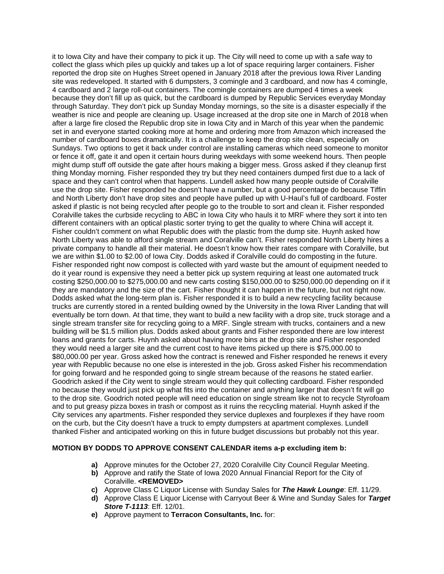it to Iowa City and have their company to pick it up. The City will need to come up with a safe way to collect the glass which piles up quickly and takes up a lot of space requiring larger containers. Fisher reported the drop site on Hughes Street opened in January 2018 after the previous Iowa River Landing site was redeveloped. It started with 6 dumpsters, 3 comingle and 3 cardboard, and now has 4 comingle, 4 cardboard and 2 large roll-out containers. The comingle containers are dumped 4 times a week because they don't fill up as quick, but the cardboard is dumped by Republic Services everyday Monday through Saturday. They don't pick up Sunday Monday mornings, so the site is a disaster especially if the weather is nice and people are cleaning up. Usage increased at the drop site one in March of 2018 when after a large fire closed the Republic drop site in Iowa City and in March of this year when the pandemic set in and everyone started cooking more at home and ordering more from Amazon which increased the number of cardboard boxes dramatically. It is a challenge to keep the drop site clean, especially on Sundays. Two options to get it back under control are installing cameras which need someone to monitor or fence it off, gate it and open it certain hours during weekdays with some weekend hours. Then people might dump stuff off outside the gate after hours making a bigger mess. Gross asked if they cleanup first thing Monday morning. Fisher responded they try but they need containers dumped first due to a lack of space and they can't control when that happens. Lundell asked how many people outside of Coralville use the drop site. Fisher responded he doesn't have a number, but a good percentage do because Tiffin and North Liberty don't have drop sites and people have pulled up with U-Haul's full of cardboard. Foster asked if plastic is not being recycled after people go to the trouble to sort and clean it. Fisher responded Coralville takes the curbside recycling to ABC in Iowa City who hauls it to MRF where they sort it into ten different containers with an optical plastic sorter trying to get the quality to where China will accept it. Fisher couldn't comment on what Republic does with the plastic from the dump site. Huynh asked how North Liberty was able to afford single stream and Coralville can't. Fisher responded North Liberty hires a private company to handle all their material. He doesn't know how their rates compare with Coralville, but we are within \$1.00 to \$2.00 of Iowa City. Dodds asked if Coralville could do composting in the future. Fisher responded right now compost is collected with yard waste but the amount of equipment needed to do it year round is expensive they need a better pick up system requiring at least one automated truck costing \$250,000.00 to \$275,000.00 and new carts costing \$150,000.00 to \$250,000.00 depending on if it they are mandatory and the size of the cart. Fisher thought it can happen in the future, but not right now. Dodds asked what the long-term plan is. Fisher responded it is to build a new recycling facility because trucks are currently stored in a rented building owned by the University in the Iowa River Landing that will eventually be torn down. At that time, they want to build a new facility with a drop site, truck storage and a single stream transfer site for recycling going to a MRF. Single stream with trucks, containers and a new building will be \$1.5 million plus. Dodds asked about grants and Fisher responded there are low interest loans and grants for carts. Huynh asked about having more bins at the drop site and Fisher responded they would need a larger site and the current cost to have items picked up there is \$75,000.00 to \$80,000.00 per year. Gross asked how the contract is renewed and Fisher responded he renews it every year with Republic because no one else is interested in the job. Gross asked Fisher his recommendation for going forward and he responded going to single stream because of the reasons he stated earlier. Goodrich asked if the City went to single stream would they quit collecting cardboard. Fisher responded no because they would just pick up what fits into the container and anything larger that doesn't fit will go to the drop site. Goodrich noted people will need education on single stream like not to recycle Styrofoam and to put greasy pizza boxes in trash or compost as it ruins the recycling material. Huynh asked if the City services any apartments. Fisher responded they service duplexes and fourplexes if they have room on the curb, but the City doesn't have a truck to empty dumpsters at apartment complexes. Lundell thanked Fisher and anticipated working on this in future budget discussions but probably not this year.

### **MOTION BY DODDS TO APPROVE CONSENT CALENDAR items a-p excluding item b:**

- **a)** Approve minutes for the October 27, 2020 Coralville City Council Regular Meeting.
- **b)** Approve and ratify the State of Iowa 2020 Annual Financial Report for the City of Coralville. **<REMOVED>**
- **c)** Approve Class C Liquor License with Sunday Sales for *The Hawk Lounge*: Eff. 11/29.
- **d)** Approve Class E Liquor License with Carryout Beer & Wine and Sunday Sales for *Target Store T-1113*: Eff. 12/01.
- **e)** Approve payment to **Terracon Consultants, Inc.** for: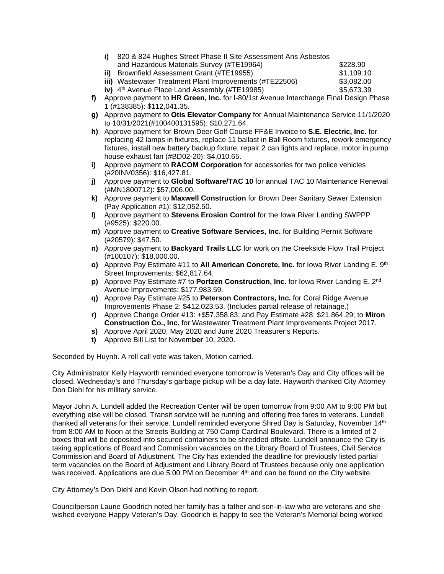| 820 & 824 Hughes Street Phase II Site Assessment Ans Asbestos |            |
|---------------------------------------------------------------|------------|
| and Hazardous Materials Survey (#TE19964)                     | \$228.90   |
| <b>ii)</b> Brownfield Assessment Grant (#TE19955)             | \$1,109.10 |
| iii) Wastewater Treatment Plant Improvements (#TE22506)       | \$3,082.00 |
|                                                               |            |

**iv)**  $4<sup>th</sup>$  Avenue Place Land Assembly (#TE19985) \$5,673.39

- **f)** Approve payment to **HR Green, Inc.** for I-80/1st Avenue Interchange Final Design Phase 1 (#138385): \$112,041.35.
- **g)** Approve payment to **Otis Elevator Company** for Annual Maintenance Service 11/1/2020 to 10/31/2021(#100400131595): \$10,271.64.
- **h)** Approve payment for Brown Deer Golf Course FF&E Invoice to **S.E. Electric, Inc.** for replacing 42 lamps in fixtures, replace 11 ballast in Ball Room fixtures, rework emergency fixtures, install new battery backup fixture, repair 2 can lights and replace, motor in pump house exhaust fan (#BD02-20): \$4,010.65.
- **i)** Approve payment to **RACOM Corporation** for accessories for two police vehicles (#20INV0356): \$16,427.81.
- **j)** Approve payment to **Global Software/TAC 10** for annual TAC 10 Maintenance Renewal (#MN1800712): \$57,006.00.
- **k)** Approve payment to **Maxwell Construction** for Brown Deer Sanitary Sewer Extension (Pay Application #1): \$12,052.50.
- **l)** Approve payment to **Stevens Erosion Control** for the Iowa River Landing SWPPP (#9525): \$220.00.
- **m)** Approve payment to **Creative Software Services, Inc.** for Building Permit Software (#20579): \$47.50.
- **n)** Approve payment to **Backyard Trails LLC** for work on the Creekside Flow Trail Project (#100107): \$18,000.00.
- **o)** Approve Pay Estimate #11 to **All American Concrete, Inc.** for Iowa River Landing E. 9<sup>th</sup> Street Improvements: \$62,817.64.
- **p)** Approve Pay Estimate #7 to **Portzen Construction, Inc.** for lowa River Landing E. 2<sup>nd</sup> Avenue Improvements: \$177,983.59.
- **q)** Approve Pay Estimate #25 to **Peterson Contractors, Inc.** for Coral Ridge Avenue Improvements Phase 2: \$412,023.53. (Includes partial release of retainage.)
- **r)** Approve Change Order #13: +\$57,358.83; and Pay Estimate #28: \$21,864.29; to **Miron Construction Co., Inc.** for Wastewater Treatment Plant Improvements Project 2017.
- **s)** Approve April 2020, May 2020 and June 2020 Treasurer's Reports.
- **t)** Approve Bill List for Novem**ber** 10, 2020.

Seconded by Huynh. A roll call vote was taken, Motion carried.

City Administrator Kelly Hayworth reminded everyone tomorrow is Veteran's Day and City offices will be closed. Wednesday's and Thursday's garbage pickup will be a day late. Hayworth thanked City Attorney Don Diehl for his military service.

Mayor John A. Lundell added the Recreation Center will be open tomorrow from 9:00 AM to 9:00 PM but everything else will be closed. Transit service will be running and offering free fares to veterans. Lundell thanked all veterans for their service. Lundell reminded everyone Shred Day is Saturday, November 14<sup>th</sup> from 8:00 AM to Noon at the Streets Building at 750 Camp Cardinal Boulevard. There is a limited of 2 boxes that will be deposited into secured containers to be shredded offsite. Lundell announce the City is taking applications of Board and Commission vacancies on the Library Board of Trustees, Civil Service Commission and Board of Adjustment. The City has extended the deadline for previously listed partial term vacancies on the Board of Adjustment and Library Board of Trustees because only one application was received. Applications are due 5:00 PM on December 4<sup>th</sup> and can be found on the City website.

City Attorney's Don Diehl and Kevin Olson had nothing to report.

Councilperson Laurie Goodrich noted her family has a father and son-in-law who are veterans and she wished everyone Happy Veteran's Day. Goodrich is happy to see the Veteran's Memorial being worked